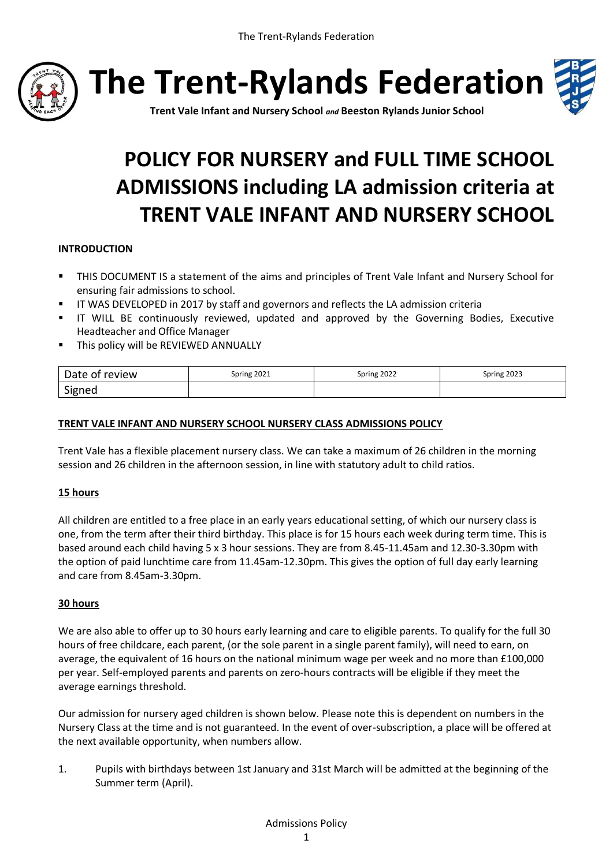

**The Trent-Rylands Federation**



**Trent Vale Infant and Nursery School** *and* **Beeston Rylands Junior School**

# **POLICY FOR NURSERY and FULL TIME SCHOOL ADMISSIONS including LA admission criteria at TRENT VALE INFANT AND NURSERY SCHOOL**

# **INTRODUCTION**

- THIS DOCUMENT IS a statement of the aims and principles of Trent Vale Infant and Nursery School for ensuring fair admissions to school.
- IT WAS DEVELOPED in 2017 by staff and governors and reflects the LA admission criteria
- IT WILL BE continuously reviewed, updated and approved by the Governing Bodies, Executive Headteacher and Office Manager
- **This policy will be REVIEWED ANNUALLY**

| Date of review | Spring 2021 | Spring 2022 | Spring 2023 |
|----------------|-------------|-------------|-------------|
| Signed         |             |             |             |

## **TRENT VALE INFANT AND NURSERY SCHOOL NURSERY CLASS ADMISSIONS POLICY**

Trent Vale has a flexible placement nursery class. We can take a maximum of 26 children in the morning session and 26 children in the afternoon session, in line with statutory adult to child ratios.

## **15 hours**

All children are entitled to a free place in an early years educational setting, of which our nursery class is one, from the term after their third birthday. This place is for 15 hours each week during term time. This is based around each child having 5 x 3 hour sessions. They are from 8.45-11.45am and 12.30-3.30pm with the option of paid lunchtime care from 11.45am-12.30pm. This gives the option of full day early learning and care from 8.45am-3.30pm.

## **30 hours**

We are also able to offer up to 30 hours early learning and care to eligible parents. To qualify for the full 30 hours of free childcare, each parent, (or the sole parent in a single parent family), will need to earn, on average, the equivalent of 16 hours on the national minimum wage per week and no more than £100,000 per year. Self-employed parents and parents on zero-hours contracts will be eligible if they meet the average earnings threshold.

Our admission for nursery aged children is shown below. Please note this is dependent on numbers in the Nursery Class at the time and is not guaranteed. In the event of over-subscription, a place will be offered at the next available opportunity, when numbers allow.

1. Pupils with birthdays between 1st January and 31st March will be admitted at the beginning of the Summer term (April).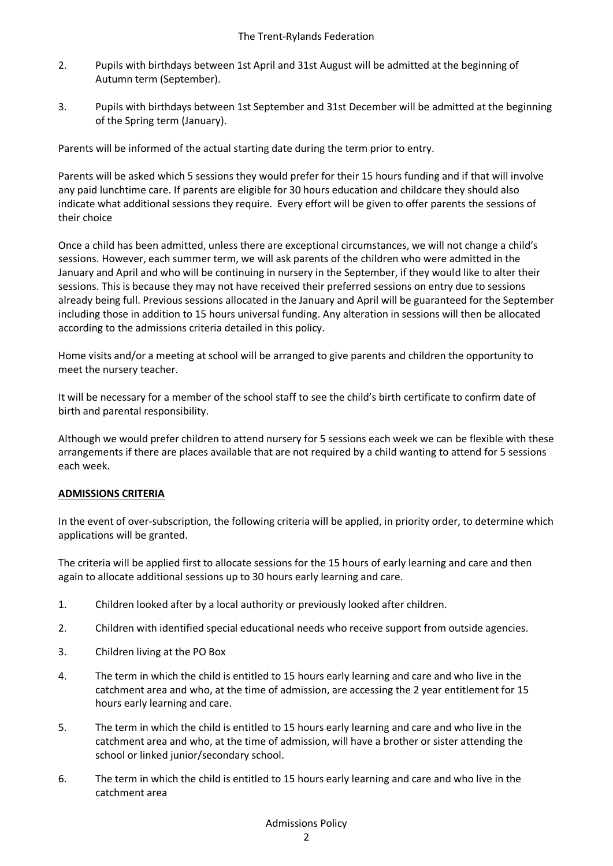- 2. Pupils with birthdays between 1st April and 31st August will be admitted at the beginning of Autumn term (September).
- 3. Pupils with birthdays between 1st September and 31st December will be admitted at the beginning of the Spring term (January).

Parents will be informed of the actual starting date during the term prior to entry.

Parents will be asked which 5 sessions they would prefer for their 15 hours funding and if that will involve any paid lunchtime care. If parents are eligible for 30 hours education and childcare they should also indicate what additional sessions they require. Every effort will be given to offer parents the sessions of their choice

Once a child has been admitted, unless there are exceptional circumstances, we will not change a child's sessions. However, each summer term, we will ask parents of the children who were admitted in the January and April and who will be continuing in nursery in the September, if they would like to alter their sessions. This is because they may not have received their preferred sessions on entry due to sessions already being full. Previous sessions allocated in the January and April will be guaranteed for the September including those in addition to 15 hours universal funding. Any alteration in sessions will then be allocated according to the admissions criteria detailed in this policy.

Home visits and/or a meeting at school will be arranged to give parents and children the opportunity to meet the nursery teacher.

It will be necessary for a member of the school staff to see the child's birth certificate to confirm date of birth and parental responsibility.

Although we would prefer children to attend nursery for 5 sessions each week we can be flexible with these arrangements if there are places available that are not required by a child wanting to attend for 5 sessions each week.

#### **ADMISSIONS CRITERIA**

In the event of over-subscription, the following criteria will be applied, in priority order, to determine which applications will be granted.

The criteria will be applied first to allocate sessions for the 15 hours of early learning and care and then again to allocate additional sessions up to 30 hours early learning and care.

- 1. Children looked after by a local authority or previously looked after children.
- 2. Children with identified special educational needs who receive support from outside agencies.
- 3. Children living at the PO Box
- 4. The term in which the child is entitled to 15 hours early learning and care and who live in the catchment area and who, at the time of admission, are accessing the 2 year entitlement for 15 hours early learning and care.
- 5. The term in which the child is entitled to 15 hours early learning and care and who live in the catchment area and who, at the time of admission, will have a brother or sister attending the school or linked junior/secondary school.
- 6. The term in which the child is entitled to 15 hours early learning and care and who live in the catchment area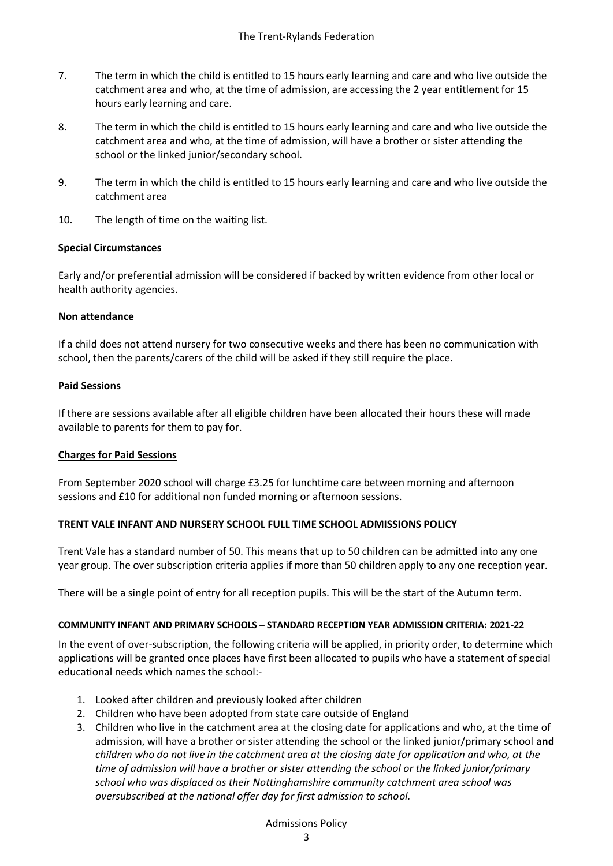- 7. The term in which the child is entitled to 15 hours early learning and care and who live outside the catchment area and who, at the time of admission, are accessing the 2 year entitlement for 15 hours early learning and care.
- 8. The term in which the child is entitled to 15 hours early learning and care and who live outside the catchment area and who, at the time of admission, will have a brother or sister attending the school or the linked junior/secondary school.
- 9. The term in which the child is entitled to 15 hours early learning and care and who live outside the catchment area
- 10. The length of time on the waiting list.

## **Special Circumstances**

Early and/or preferential admission will be considered if backed by written evidence from other local or health authority agencies.

## **Non attendance**

If a child does not attend nursery for two consecutive weeks and there has been no communication with school, then the parents/carers of the child will be asked if they still require the place.

# **Paid Sessions**

If there are sessions available after all eligible children have been allocated their hours these will made available to parents for them to pay for.

## **Charges for Paid Sessions**

From September 2020 school will charge £3.25 for lunchtime care between morning and afternoon sessions and £10 for additional non funded morning or afternoon sessions.

## **TRENT VALE INFANT AND NURSERY SCHOOL FULL TIME SCHOOL ADMISSIONS POLICY**

Trent Vale has a standard number of 50. This means that up to 50 children can be admitted into any one year group. The over subscription criteria applies if more than 50 children apply to any one reception year.

There will be a single point of entry for all reception pupils. This will be the start of the Autumn term.

## **COMMUNITY INFANT AND PRIMARY SCHOOLS – STANDARD RECEPTION YEAR ADMISSION CRITERIA: 2021-22**

In the event of over-subscription, the following criteria will be applied, in priority order, to determine which applications will be granted once places have first been allocated to pupils who have a statement of special educational needs which names the school:-

- 1. Looked after children and previously looked after children
- 2. Children who have been adopted from state care outside of England
- 3. Children who live in the catchment area at the closing date for applications and who, at the time of admission, will have a brother or sister attending the school or the linked junior/primary school **and**  *children who do not live in the catchment area at the closing date for application and who, at the time of admission will have a brother or sister attending the school or the linked junior/primary school who was displaced as their Nottinghamshire community catchment area school was oversubscribed at the national offer day for first admission to school.*